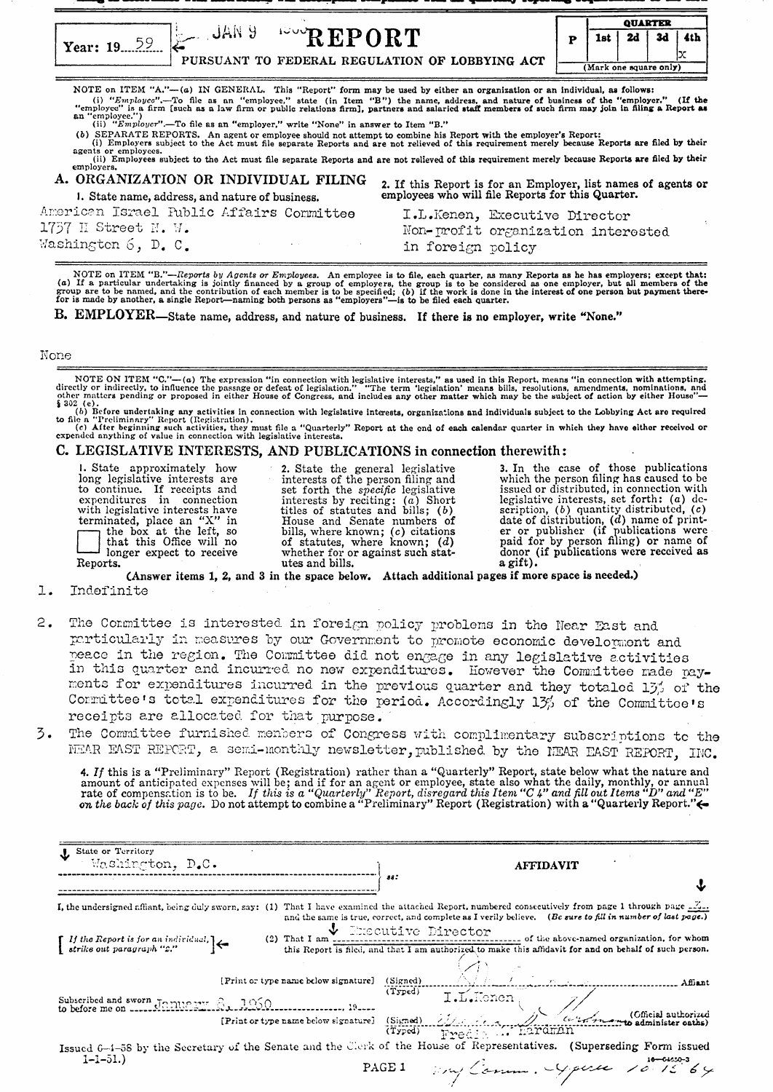\_ - ----- --------\_- -----.r---r---- ....---.. --r-~ -~---- - - --

|           |                                                |                        | <b>QUARTER</b> |      |     |
|-----------|------------------------------------------------|------------------------|----------------|------|-----|
| Year: 19. | <b>UAN 9</b><br>$P^{\text{even}}$ REPORT       | ist                    | <b>2d</b>      | - 3d | 4th |
|           | PURSUANT TO FEDERAL REGULATION OF LOBBYING ACT | (Mark one square only) |                |      |     |

NOTE on ITEM "A."-(a) IN GENEHAL. This "Report" form may be used by either an organization or an Individual, as follows: (i) "Employe".—To file as an "employee," state (in Item "B") the name, address, and nature of business of the "employer." (If the "employee" is a firm [such as a law firm or public relations firm], partners and salaried s

(b) SEPARATE REPORTS. An agent or employee should not attempt to combine his Report with the employer's Report:<br>(i) Employers subject to the Act must file separate Reports and are not relieved of this requirement merely be agents or employees.  $(i)$  Employees subject to the Act must file separate Reports and are not relieved of this requirement merely because Reports are filed by their employers.

| A. ORGANIZATION OR INDIVIDUAL FILING                              | 2. If this Report is for an Employer, list names of agents or employees who will file Reports for this Quarter. |
|-------------------------------------------------------------------|-----------------------------------------------------------------------------------------------------------------|
| 1. State name, address, and nature of business.                   |                                                                                                                 |
| American Israel Public Affairs Committee<br>$1757$ H Street N. W. | I.L.Kenen, Executive Director<br>Non-profit organization interested                                             |
| Washington 6, D. C.<br>and the control                            | in foreign policy                                                                                               |

NOTE on ITEM "B."—Reports by Agents or Employees. An employee is to file, each quarter, as many Reports as he has employers; except that:<br>(a) If a particular undertaking is jointly financed by a group of employers, the gro

B. EMPLOYER-State name, address, and nature of business. If there is no employer, write "None."

## None

 $\overline{\phantom{a}}$ 

NOTE ON ITEM "C."—(a) The expression "in connection with legislative interests," as used in this Report, means "in connection with attempting, directly or indirectly, to influence the passage or defeat of legislation." "T

(b) Before undertaking any activities in connection with legislative interests, organizations and individuals subject to the Lobbying Act are required to file a "Preliminary" Report (Registration). (c) After beginning such activities, they must file a "Quarterly" Report at the end of each calendar quarter in which they have eithor received or expended anything of value in connection with legislative interests.

## C. LEGISLATIVE INTERESTS, AND PUBLICATIONS in connection therewith:

I. State approximately how 2. State the general legislative 3. In the case of those publications long legislative interests are interests of the person filing and which the person filing has caused to be to continue. If receipts and set forth the *specific* legislative issued or distributed, in connection with expenditures in connection interests by reciting: (a) Short legislative interests, set forth: (a) dewith legislati terminated, place an "X" in House and Senate numbers of date of distribution, (d) name of print-<br>the box at the left, so bills, where known; (c) citations er or publisher (if publications were<br>that this Office will no of s

(Answer items 1, 2, and 3 in the space below. Attach additional pages if more space is needed.)

- 1. Indefinite
- 2. The Cormittee is interested in foreign policy problems in the Near East and particularly in measures by our Government to promote economic development and  $_{\rm{peace}}$  in the region. The Committee did not engage in any legislative activities in this quarter and incurred no new expenditures. However the Committee made payments for expenditures incurred in the previous quarter and they totaled  $15'$  of the Cormittee's totel expenditures for the period. Accordingly  $1\frac{3}{2}$  of the Committoe's receipts are allocated for that purpose.
- 3. The Committee furnished menbers of Congress with complimentary subscriptions to the NEAR EAST REPORT, a semi-monthly newsletter, published by the NEAR EAST REPORT, INC.

4. If this is a "Preliminary" Report (Registration) rather than a "Quarterly" Report, state below what the nature and amount of anticipated expenses will be; and if for an agent or employee, state also what the daily, mon

| U State or Territory<br>Washington, D.C.                                                                                       | <b>AFFIDAVIT</b>                                                                                                                                                                                                                                                                                                                                                                                                                                                                                                |
|--------------------------------------------------------------------------------------------------------------------------------|-----------------------------------------------------------------------------------------------------------------------------------------------------------------------------------------------------------------------------------------------------------------------------------------------------------------------------------------------------------------------------------------------------------------------------------------------------------------------------------------------------------------|
|                                                                                                                                | 28:                                                                                                                                                                                                                                                                                                                                                                                                                                                                                                             |
| I, the undersigned affiant, being duly sworn, say: (1)                                                                         | That I have examined the attached Report, numbered consecutively from page 1 through page $\frac{Z_{n+1}}{n}$<br>and the same is true, correct, and complete as I verily believe. (Be sure to fill in number of last page.)                                                                                                                                                                                                                                                                                     |
| $(2)$ That I am<br>$\begin{bmatrix} If the Report is for an individual, \\ strike out paragraph "2." \end{bmatrix} \leftarrow$ | Unit Coutive Director of the above-named organization, for whom<br>this Report is filed, and that I am authorized to make this affidavit for and on behalf of such person.                                                                                                                                                                                                                                                                                                                                      |
| [Print or type name below signature] (Signed)                                                                                  | Albert Latin Latin 1<br>Affiant                                                                                                                                                                                                                                                                                                                                                                                                                                                                                 |
| Subscribed and sworn January 8, 1960.                                                                                          | $[Print or type name below signature] \begin{minipage}{.4cm} \begin{tabular}{c} \multicolumn{2}{c}{\textbf{19--}} \end{tabular} \end{minipage} \begin{minipage}{.4cm} \begin{tabular}{c} \multicolumn{2}{c}{\textbf{19--}} \end{tabular} \end{minipage} \begin{minipage}{.4cm} \begin{tabular}{c} \multicolumn{2}{c}{\textbf{19--}} \end{tabular} \end{minipage} \end{minipage} \begin{minipage}{.4cm} \begin{tabular}{c} \multicolumn{2}{c}{\textbf{19--}} \end{tabular} \end{minipage} \end{minipage} \begin$ |
|                                                                                                                                |                                                                                                                                                                                                                                                                                                                                                                                                                                                                                                                 |
| $1 - 1 - 51.$                                                                                                                  | Issued 6-4-58 by the Secretary of the Senate and the Clerk of the House of Representatives. (Superseding Form issued<br>any Comm. Gener 10.1564<br>PAGE 1                                                                                                                                                                                                                                                                                                                                                       |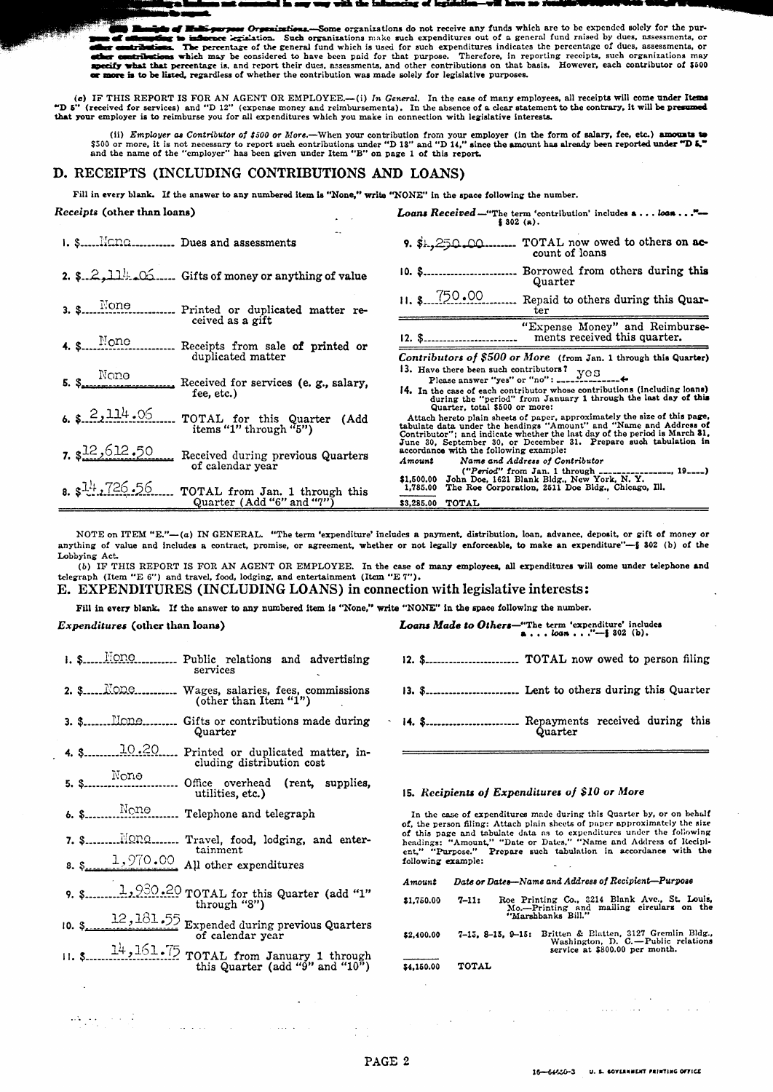e organizations do not receive any funds which are to be expended solely for the purthe percentage of the general fund which is used for such expenditures out of a general fund raised by dues, assessments, or Therefore, in reporting receipts, such organizations may بالمسر ther contributions which may be considered to have been paid for that purpose. Therefore, in reporting receipts, such organizations may<br>pecify what that percentage is, and report their dues, assessments, and other contribu  $\blacksquare$ or more is to be listed, regardless of whether the contribution was made solely for legislative purposes.

(c) IF THIS REPORT IS FOR AN AGENT OR EMPLOYEE.—(i) In General. In the case of many employees, all receipts will come under Items  $\text{``D 5''}$  (received for services) and "D 12" (expense money and reimbursements). In the a

(ii) *Employer* as Contributor of \$500 or More.—When your contribution from your employer (in the form of salary, fee, etc.) amounts to \$500 or more, it is not necessary to report such contributions under "D 18" and "D 14

## D. RECEIPTS (INCLUDING CONTRIBUTIONS AND LOANS)

Fill in every blank. If the answer to any numbered item is "None," write "NONE" in the space following the number.

| Receipts (other than loans)                                                     | <b>Loans Received</b> -"The term 'contribution' includes $a \dots \log a \dots$ "-<br>\$302(a).                                                                                                                                                                |  |  |
|---------------------------------------------------------------------------------|----------------------------------------------------------------------------------------------------------------------------------------------------------------------------------------------------------------------------------------------------------------|--|--|
| 1. \$ Nono Dues and assessments                                                 | TOTAL now owed to others on ac-<br>9. \$1,250.00<br>count of loans                                                                                                                                                                                             |  |  |
| 2. $2.2.114.05$ Gifts of money or anything of value                             | Borrowed from others during this<br>10. \$<br>Quarter                                                                                                                                                                                                          |  |  |
| Printed or duplicated matter re-                                                | $11.$ \$ $750.00$<br>Repaid to others during this Quar-<br>ter                                                                                                                                                                                                 |  |  |
| ceived as a gift<br>4. $\sum_{\text{non}}$<br>Receipts from sale of printed or  | "Expense Money" and Reimburse-<br>ments received this quarter.<br>12. \$                                                                                                                                                                                       |  |  |
| duplicated matter                                                               | Contributors of \$500 or More (from Jan. 1 through this Quarter)                                                                                                                                                                                               |  |  |
| $S_{\bullet}$ None<br>Received for services (e. g., salary,<br>fee, etc.)       | 14. In the case of each contributor whose contributions (including loans)<br>during the "period" from January 1 through the last day of this                                                                                                                   |  |  |
| $6.$ \$ $2,114.06$<br>TOTAL for this Quarter (Add<br>items "1" through " $5$ ") | Quarter, total \$500 or more:<br>Attach hereto plain sheets of paper, approximately the size of this page,<br>tabulate data under the headings "Amount" and "Name and Address of<br>Contributor"; and indicate whether the last day of the period is March 81, |  |  |
| $, s^{12}, 612, 50$<br>Received during previous Quarters<br>of calendar year    | June 30, September 30, or December 31. Prepare such tabulation in<br>accordance with the following example:<br>Amount<br>Name and Address of Contributor<br>$("Period" from Jan. 1 through _______1 19]$                                                       |  |  |
| 3.54.726.56<br>TOTAL from Jan. 1 through this<br>Quarter (Add "6" and "7")      | \$1,500.00 John Doe, 1621 Blank Bldg., New York, N.Y.<br>1,785.00 The Roe Corporation. 2511 Doe Bldg., Chicago, Ill.<br>\$3,285.00 TOTAL                                                                                                                       |  |  |

NOTE on ITEM "E."-(a) IN GENERAL. "The term 'expenditure' includes a payment, distribution, loan, advance, deposit, or gift of money or anything of value and includes a contract, promise, or agreement, whether or not legally enforceable, to make an expenditure"-§ 802 (b) of the Lobbying Act.

(b) IF THIS REPORT IS FOR AN AGENT OR EMPLOYEE. In the case of many employees, all expenditures will come under telephone and telegraph (Item "E 6") and travel, food, lodging, and entertainment (Item "E 7").

E. EXPENDITURES (INCLUDING LOANS) in connection with legislative interests:

Fill in every blank. If the answer to any numbered item is "None," write "NONE" in the space following the number.

Expenditures (other than loans)

- services 3. \$........ Mone......... Gifts or contributions made during Quarter cluding distribution cost None  $5.$   $S$ Office overhead (rent, supplies, utilities, etc.) 7. S......... Nono... .... Travel, food, lodging, and entertainment  $1,970.00$  All other expenditures
- $8S$

 $\sim 10^{-11}$ 

 $\alpha$  ,  $\alpha$  ,  $\alpha$ 

- 
- 12, 181.55 Expended during previous Quarters  $10.3$ of calendar year
- $\frac{14}{100}$ ,  $\frac{161}{100}$  TOTAL from January 1 through<br>this Quarter (add "9" and "10")  $11. S$

Loans Made to Others-"The term 'expenditure' includes<br> $...$  loan . . ."--\$ 302 (b).

- 
- 
- 14. \$............................ Repayments received during this Quarter

## 15. Recipients of Expenditures of \$10 or More

In the case of expenditures made during this Quarter by, or on behalf of, the person filing: Attach plain sheets of paper approximately the size of this page and tabulate data as to expenditures under the following headings: "Amount," "Date or Dates," "Name and Address of Recipient," "Purpose." Prepare such tabulation in accordance with the following example:

| Amount     | Date or Dates-Name and Address of Recipient-Purpose<br>Roe Printing Co., 3214 Blank Ave., St. Louis,<br>$7 - 11:$<br>Mo.---Printing and mailing circulars on the<br>"Marshbanks Bill." |  |  |
|------------|----------------------------------------------------------------------------------------------------------------------------------------------------------------------------------------|--|--|
| \$1,750.00 |                                                                                                                                                                                        |  |  |
| \$2,400.00 | Britten & Blatten, 3127 Gremlin Bldg.,<br>$7-15.8-15.9-15:$<br>Washington, D. C.-Public relations<br>service at \$800.00 per month.                                                    |  |  |
| \$4.150.00 | <b>TOTAL</b>                                                                                                                                                                           |  |  |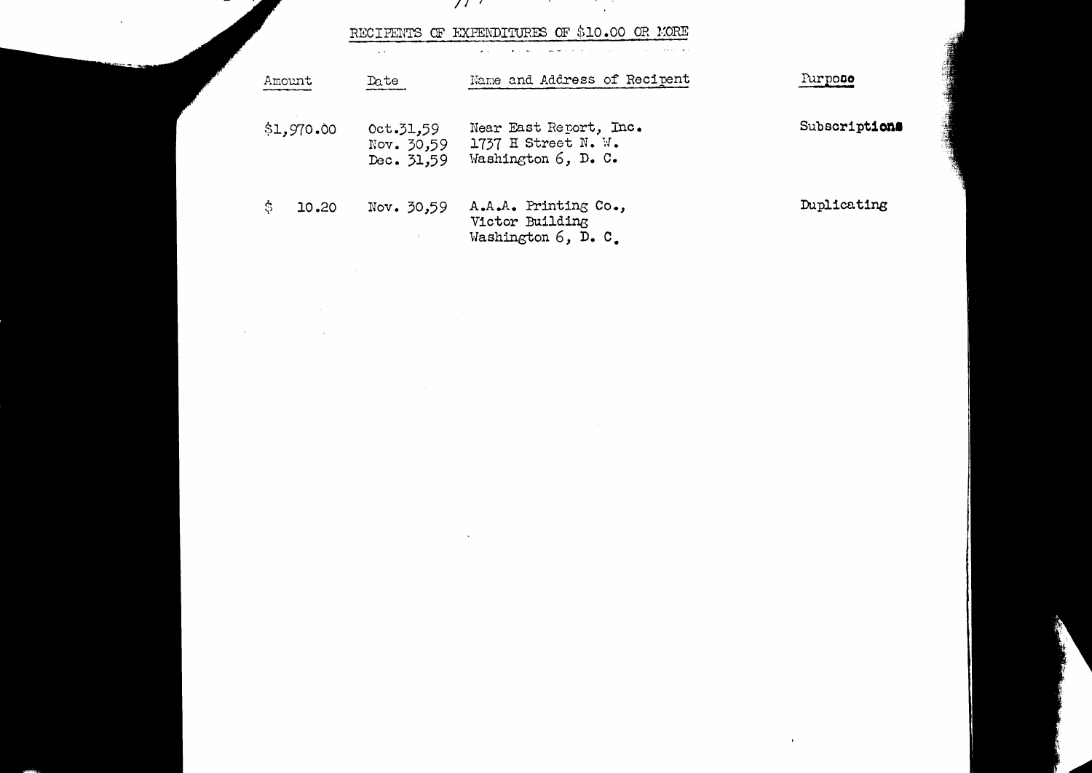$\mathcal{F}$  and  $\mathcal{F}$  and  $\mathcal{F}$ 

RECIPENTS OF EXPENDITURES OF \$10.00 OR MORE

 $\sim 10^{11}$ 

 $\sim 10^{11}$ 

 $\sim 10^{11}$  and  $\sim 10^{11}$ 

 $\ddot{\phantom{a}}$ 

| Amount     | Date                                  | Name and Address of Recipent                                         | Purposo       |
|------------|---------------------------------------|----------------------------------------------------------------------|---------------|
| \$1,970.00 | 0ct.31,59<br>Nov. 30,59<br>Dec. 31,59 | Near East Report, Inc.<br>1737 H Street N. W.<br>Washington 6, D. C. | Subscriptions |
| 10.20      | Nov. 30,59<br>÷                       | A.A.A. Printing Co.,<br>Victor Building<br>Washington 6, D. C.       | Duplicating   |

the control of the state of the con-

 $\mathbf{u}$